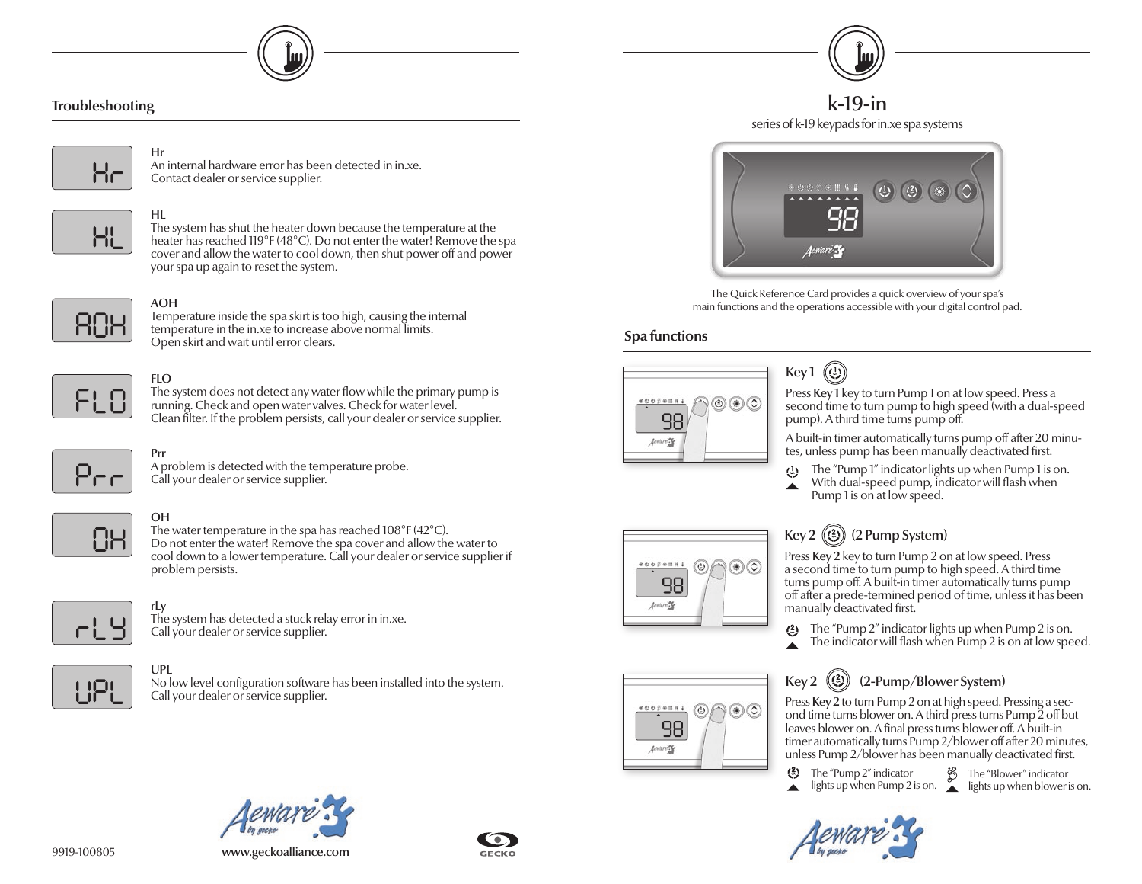

#### **Troubleshooting**



#### Hr An internal hardware error has been detected in in.xe.



HL

The system has shut the heater down because the temperature at the heater has reached 119°F (48°C). Do not enter the water! Remove the spa cover and allow the water to cool down, then shut power off and power your spa up again to reset the system.



#### AOH

Temperature inside the spa skirt is too high, causing the internal temperature in the in.xe to increase above normal limits. Open skirt and wait until error clears.



#### FLO

The system does not detect any water flow while the primary pump is running. Check and open water valves. Check for water level. Clean filter. If the problem persists, call your dealer or service supplier.



**OH** 

### OH

Prr

The water temperature in the spa has reached 108°F (42°C). Do not enter the water! Remove the spa cover and allow the water to cool down to a lower temperature. Call your dealer or service supplier if problem persists.



rLy The system has detected a stuck relay error in in.xe. Call your dealer or service supplier.

A problem is detected with the temperature probe.



UPL No low level configuration software has been installed into the system. Call your dealer or service supplier.





k-19-in series of k-19 keypads for in.xe spa systems



The Quick Reference Card provides a quick overview of your spa's main functions and the operations accessible with your digital control pad.

#### **Spa functions**



#### $\circledR$ Key 1

Press Key 1 key to turn Pump 1 on at low speed. Press a second time to turn pump to high speed (with a dual-speed pump). A third time turns pump off.

A built-in timer automatically turns pump off after 20 minutes, unless pump has been manually deactivated first.

- The "Pump 1" indicator lights up when Pump 1 is on.
- With dual-speed pump, indicator will flash when Pump 1 is on at low speed.



 $\circledcirc$ 

98 Acuture 2

 $\circledcirc$ 

## Key 2  $(\binom{2}{2})$  (2 Pump System)

Press Key 2 key to turn Pump 2 on at low speed. Press a second time to turn pump to high speed. A third time turns pump off. A built-in timer automatically turns pump off after a prede-termined period of time, unless it has been manually deactivated first.

- The "Pump 2" indicator lights up when Pump 2 is on.
- The indicator will flash when  $Pump 2$  is on at low speed.



Press Key 2 to turn Pump 2 on at high speed. Pressing a second time turns blower on. A third press turns Pump 2 off but leaves blower on. A final press turns blower off. A built-in timer automatically turns Pump 2/blower off after 20 minutes, unless Pump 2/blower has been manually deactivated first.

 $\binom{2}{2}$  The "Pump 2" indicator

lights up when Pump 2 is on.  $\lambda$  lights up when blower is on. The "Blower" indicator



9919-100805 www.geckoalliance.com



Call your dealer or service supplier.

Contact dealer or service supplier.